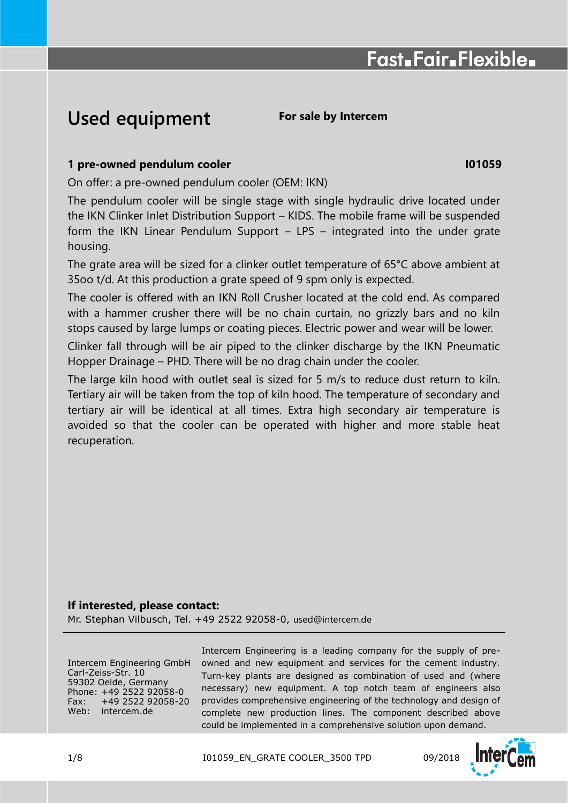### **Used equipment For sale by Intercem**

#### **1 pre-owned pendulum cooler I01059**

On offer: a pre-owned pendulum cooler (OEM: IKN)

The pendulum cooler will be single stage with single hydraulic drive located under the IKN Clinker Inlet Distribution Support – KIDS. The mobile frame will be suspended form the IKN Linear Pendulum Support – LPS – integrated into the under grate housing.

The grate area will be sized for a clinker outlet temperature of 65°C above ambient at 35oo t/d. At this production a grate speed of 9 spm only is expected.

The cooler is offered with an IKN Roll Crusher located at the cold end. As compared with a hammer crusher there will be no chain curtain, no grizzly bars and no kiln stops caused by large lumps or coating pieces. Electric power and wear will be lower.

Clinker fall through will be air piped to the clinker discharge by the IKN Pneumatic Hopper Drainage – PHD. There will be no drag chain under the cooler.

The large kiln hood with outlet seal is sized for 5 m/s to reduce dust return to kiln. Tertiary air will be taken from the top of kiln hood. The temperature of secondary and tertiary air will be identical at all times. Extra high secondary air temperature is avoided so that the cooler can be operated with higher and more stable heat recuperation.

#### **If interested, please contact:**

Mr. Stephan Vilbusch, Tel. +49 2522 92058-0, [used@intercem.de](mailto:T.Huecking@intercem.de)

Intercem Engineering GmbH Carl-Zeiss-Str. 10 59302 Oelde, Germany Phone: +49 2522 92058-0 Fax: +49 2522 92058-20 Web: intercem.de

Intercem Engineering is a leading company for the supply of preowned and new equipment and services for the cement industry. Turn-key plants are designed as combination of used and (where necessary) new equipment. A top notch team of engineers also provides comprehensive engineering of the technology and design of complete new production lines. The component described above could be implemented in a comprehensive solution upon demand.

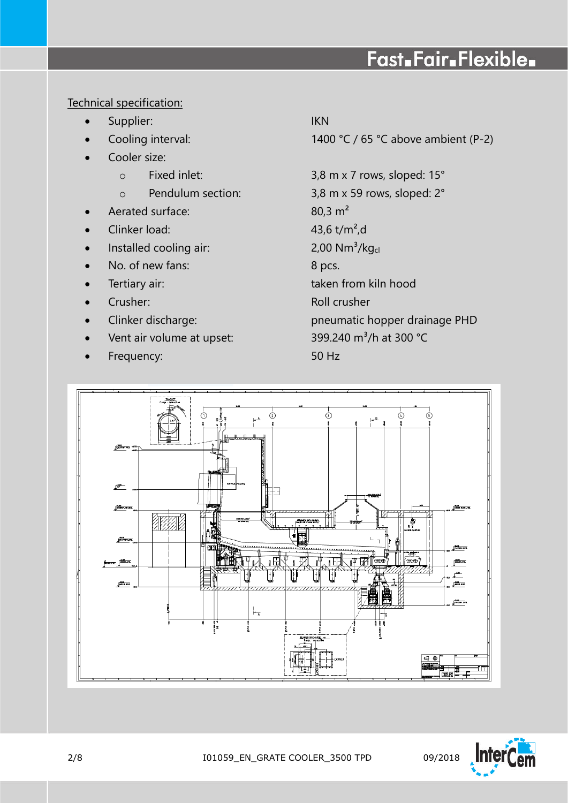#### Technical specification:

- Supplier: IKN
- 
- Cooler size:
	-
	-
- Aerated surface:  $80.3 \text{ m}^2$
- Clinker load: 43,6 t/m²,d
- Installed cooling air:  $2,00 \text{ Nm}^3/\text{kg}_\text{cl}$
- No. of new fans: 8 pcs.
- 
- 
- 
- Vent air volume at upset: 399.240 m<sup>3</sup>/h at 300 °C
- Frequency: 50 Hz

Cooling interval: 1400 °C / 65 °C above ambient (P-2)

o Fixed inlet: 3,8 m x 7 rows, sloped: 15° o Pendulum section: 3,8 m x 59 rows, sloped: 2° Tertiary air: taken from kiln hood Crusher: Crusher: Roll crusher

Clinker discharge: pneumatic hopper drainage PHD



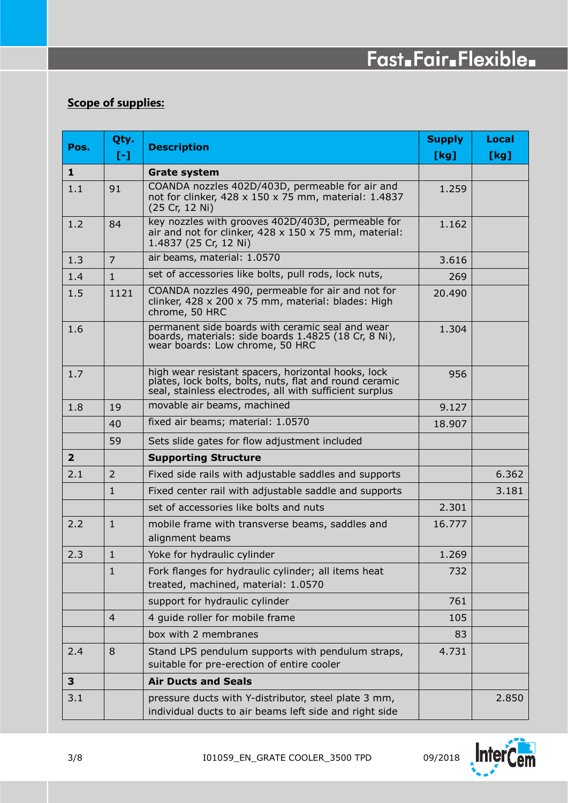#### **Scope of supplies:**

| Pos.           | Qty.           | <b>Description</b>                                                                                                                                                        | <b>Supply</b> | <b>Local</b> |
|----------------|----------------|---------------------------------------------------------------------------------------------------------------------------------------------------------------------------|---------------|--------------|
|                | $\mathbf{I}$   |                                                                                                                                                                           | [kg]          | [kg]         |
| $\mathbf{1}$   |                | <b>Grate system</b>                                                                                                                                                       |               |              |
| 1.1            | 91             | COANDA nozzles 402D/403D, permeable for air and<br>not for clinker, 428 x 150 x 75 mm, material: 1.4837<br>(25 Cr, 12 Ni)                                                 | 1.259         |              |
| 1.2            | 84             | key nozzles with grooves 402D/403D, permeable for<br>air and not for clinker, $428 \times 150 \times 75$ mm, material:<br>1.4837 (25 Cr, 12 Ni)                           | 1.162         |              |
| 1.3            | $\overline{7}$ | air beams, material: 1.0570                                                                                                                                               | 3.616         |              |
| 1.4            | $\mathbf{1}$   | set of accessories like bolts, pull rods, lock nuts,                                                                                                                      | 269           |              |
| 1.5            | 1121           | COANDA nozzles 490, permeable for air and not for<br>clinker, 428 x 200 x 75 mm, material: blades: High<br>chrome, 50 HRC                                                 | 20.490        |              |
| 1.6            |                | permanent side boards with ceramic seal and wear<br>boards, materials: side boards 1.4825 (18 Cr, 8 Ni),<br>wear boards: Low chrome, 50 HRC                               | 1.304         |              |
| 1.7            |                | high wear resistant spacers, horizontal hooks, lock<br>plates, lock bolts, bolts, nuts, flat and round ceramic<br>seal, stainless electrodes, all with sufficient surplus | 956           |              |
| 1.8            | 19             | movable air beams, machined                                                                                                                                               | 9.127         |              |
|                | 40             | fixed air beams; material: 1.0570                                                                                                                                         | 18.907        |              |
|                | 59             | Sets slide gates for flow adjustment included                                                                                                                             |               |              |
| $\overline{2}$ |                | <b>Supporting Structure</b>                                                                                                                                               |               |              |
| 2.1            | $\overline{2}$ | Fixed side rails with adjustable saddles and supports                                                                                                                     |               | 6.362        |
|                | $\mathbf{1}$   | Fixed center rail with adjustable saddle and supports                                                                                                                     |               | 3.181        |
|                |                | set of accessories like bolts and nuts                                                                                                                                    | 2.301         |              |
| 2.2            | $\mathbf{1}$   | mobile frame with transverse beams, saddles and<br>alignment beams                                                                                                        | 16.777        |              |
| 2.3            | $\mathbf{1}$   | Yoke for hydraulic cylinder                                                                                                                                               | 1.269         |              |
|                | $\mathbf{1}$   | Fork flanges for hydraulic cylinder; all items heat<br>treated, machined, material: 1.0570                                                                                | 732           |              |
|                |                | support for hydraulic cylinder                                                                                                                                            | 761           |              |
|                | 4              | 4 quide roller for mobile frame                                                                                                                                           | 105           |              |
|                |                | box with 2 membranes                                                                                                                                                      | 83            |              |
| 2.4            | 8              | Stand LPS pendulum supports with pendulum straps,<br>suitable for pre-erection of entire cooler                                                                           | 4.731         |              |
| 3 <sup>1</sup> |                | <b>Air Ducts and Seals</b>                                                                                                                                                |               |              |
| 3.1            |                | pressure ducts with Y-distributor, steel plate 3 mm,<br>individual ducts to air beams left side and right side                                                            |               | 2.850        |

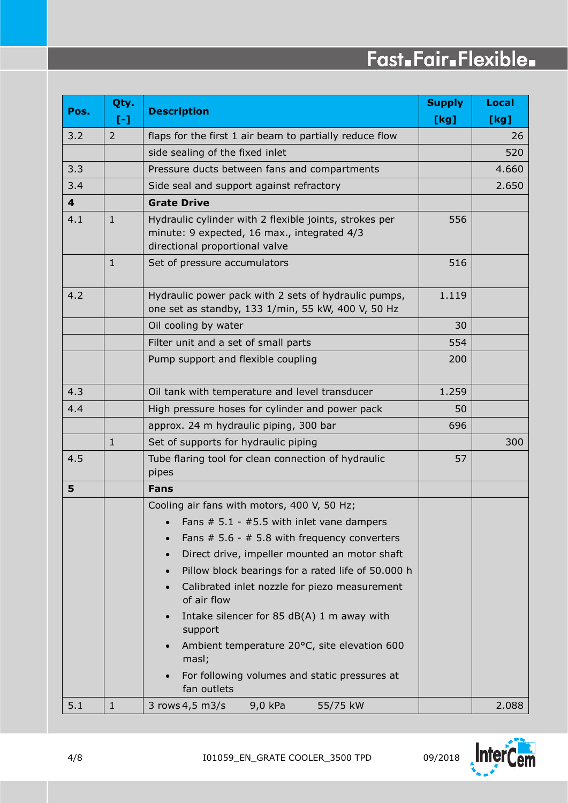| Pos.                    | Qty.<br>$[-]$  | <b>Description</b>                                                                                                                      | <b>Supply</b><br>[kg] | Local<br>[kg] |
|-------------------------|----------------|-----------------------------------------------------------------------------------------------------------------------------------------|-----------------------|---------------|
| 3.2                     | $\overline{2}$ | flaps for the first 1 air beam to partially reduce flow                                                                                 |                       | 26            |
|                         |                | side sealing of the fixed inlet                                                                                                         |                       | 520           |
| 3.3                     |                | Pressure ducts between fans and compartments                                                                                            |                       | 4.660         |
| 3.4                     |                | Side seal and support against refractory                                                                                                |                       | 2.650         |
| $\overline{\mathbf{4}}$ |                | <b>Grate Drive</b>                                                                                                                      |                       |               |
| 4.1                     | $\mathbf{1}$   | Hydraulic cylinder with 2 flexible joints, strokes per<br>minute: 9 expected, 16 max., integrated 4/3<br>directional proportional valve | 556                   |               |
|                         | $\mathbf{1}$   | Set of pressure accumulators                                                                                                            | 516                   |               |
| 4.2                     |                | Hydraulic power pack with 2 sets of hydraulic pumps,<br>one set as standby, 133 1/min, 55 kW, 400 V, 50 Hz                              | 1.119                 |               |
|                         |                | Oil cooling by water                                                                                                                    | 30                    |               |
|                         |                | Filter unit and a set of small parts                                                                                                    | 554                   |               |
|                         |                | Pump support and flexible coupling                                                                                                      | 200                   |               |
| 4.3                     |                | Oil tank with temperature and level transducer                                                                                          | 1.259                 |               |
| 4.4                     |                | High pressure hoses for cylinder and power pack                                                                                         | 50                    |               |
|                         |                | approx. 24 m hydraulic piping, 300 bar                                                                                                  | 696                   |               |
|                         | $\mathbf{1}$   | Set of supports for hydraulic piping                                                                                                    |                       | 300           |
| 4.5                     |                | Tube flaring tool for clean connection of hydraulic<br>pipes                                                                            | 57                    |               |
| 5                       |                | Fans                                                                                                                                    |                       |               |
|                         |                | Cooling air fans with motors, 400 V, 50 Hz;                                                                                             |                       |               |
|                         |                | Fans $# 5.1 - #5.5$ with inlet vane dampers                                                                                             |                       |               |
|                         |                | Fans $# 5.6 - # 5.8$ with frequency converters<br>$\bullet$                                                                             |                       |               |
|                         |                | Direct drive, impeller mounted an motor shaft<br>$\bullet$                                                                              |                       |               |
|                         |                | Pillow block bearings for a rated life of 50.000 h<br>$\bullet$                                                                         |                       |               |
|                         |                | Calibrated inlet nozzle for piezo measurement<br>$\bullet$<br>of air flow                                                               |                       |               |
|                         |                | Intake silencer for 85 dB(A) 1 m away with<br>support                                                                                   |                       |               |
|                         |                | Ambient temperature 20°C, site elevation 600<br>masl;                                                                                   |                       |               |
|                         |                | For following volumes and static pressures at<br>fan outlets                                                                            |                       |               |
| 5.1                     | $\mathbf{1}$   | 3 rows 4,5 m3/s<br>9,0 kPa<br>55/75 kW                                                                                                  |                       | 2.088         |

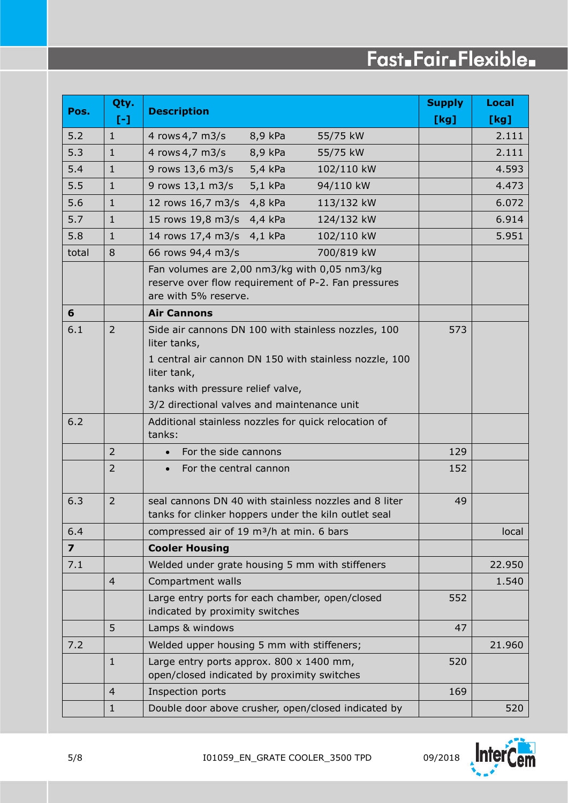| Pos.                    | Qty.<br>$\left[-\right]$ | <b>Description</b>                                                                                                                           | <b>Supply</b><br>[kg] | <b>Local</b><br>[kg] |
|-------------------------|--------------------------|----------------------------------------------------------------------------------------------------------------------------------------------|-----------------------|----------------------|
| 5.2                     | $\mathbf{1}$             | 4 rows 4,7 m3/s<br>8,9 kPa<br>55/75 kW                                                                                                       |                       | 2.111                |
| 5.3                     | $\mathbf{1}$             | 4 rows 4,7 m3/s<br>8,9 kPa<br>55/75 kW                                                                                                       |                       | 2.111                |
| 5.4                     | $\mathbf{1}$             | 5,4 kPa<br>9 rows 13,6 m3/s<br>102/110 kW                                                                                                    |                       | 4.593                |
| 5.5                     | $\mathbf{1}$             | 9 rows 13,1 m3/s<br>$5,1$ kPa<br>94/110 kW                                                                                                   |                       | 4.473                |
| 5.6                     | $\mathbf{1}$             | 12 rows 16,7 m3/s 4,8 kPa<br>113/132 kW                                                                                                      |                       | 6.072                |
| 5.7                     | $\mathbf{1}$             | 15 rows 19,8 m3/s 4,4 kPa<br>124/132 kW                                                                                                      |                       | 6.914                |
| 5.8                     | $\mathbf{1}$             | 14 rows 17,4 m3/s 4,1 kPa<br>102/110 kW                                                                                                      |                       | 5.951                |
| total                   | 8                        | 66 rows 94,4 m3/s<br>700/819 kW                                                                                                              |                       |                      |
|                         |                          | Fan volumes are 2,00 nm3/kg with 0,05 nm3/kg<br>reserve over flow requirement of P-2. Fan pressures<br>are with 5% reserve.                  |                       |                      |
| 6                       |                          | <b>Air Cannons</b>                                                                                                                           |                       |                      |
| 6.1                     | $\overline{2}$           | Side air cannons DN 100 with stainless nozzles, 100<br>liter tanks,<br>1 central air cannon DN 150 with stainless nozzle, 100<br>liter tank, | 573                   |                      |
|                         |                          | tanks with pressure relief valve,                                                                                                            |                       |                      |
|                         |                          | 3/2 directional valves and maintenance unit                                                                                                  |                       |                      |
| 6.2                     |                          | Additional stainless nozzles for quick relocation of<br>tanks:                                                                               |                       |                      |
|                         | $\overline{2}$           | For the side cannons<br>$\bullet$                                                                                                            | 129                   |                      |
|                         | $\overline{2}$           | For the central cannon<br>$\bullet$                                                                                                          | 152                   |                      |
| 6.3                     | $\overline{2}$           | seal cannons DN 40 with stainless nozzles and 8 liter<br>tanks for clinker hoppers under the kiln outlet seal                                | 49                    |                      |
| 6.4                     |                          | compressed air of 19 m <sup>3</sup> /h at min. 6 bars                                                                                        |                       | local                |
| $\overline{\mathbf{z}}$ |                          | <b>Cooler Housing</b>                                                                                                                        |                       |                      |
| 7.1                     |                          | Welded under grate housing 5 mm with stiffeners                                                                                              |                       | 22.950               |
|                         | $\overline{4}$           | Compartment walls                                                                                                                            |                       | 1.540                |
|                         |                          | Large entry ports for each chamber, open/closed<br>indicated by proximity switches                                                           | 552                   |                      |
|                         | 5                        | Lamps & windows                                                                                                                              | 47                    |                      |
| 7.2                     |                          | Welded upper housing 5 mm with stiffeners;                                                                                                   |                       | 21.960               |
|                         | $\mathbf{1}$             | Large entry ports approx. 800 x 1400 mm,<br>open/closed indicated by proximity switches                                                      | 520                   |                      |
|                         | $\overline{4}$           | Inspection ports                                                                                                                             | 169                   |                      |
|                         | $\mathbf{1}$             | Double door above crusher, open/closed indicated by                                                                                          |                       | 520                  |

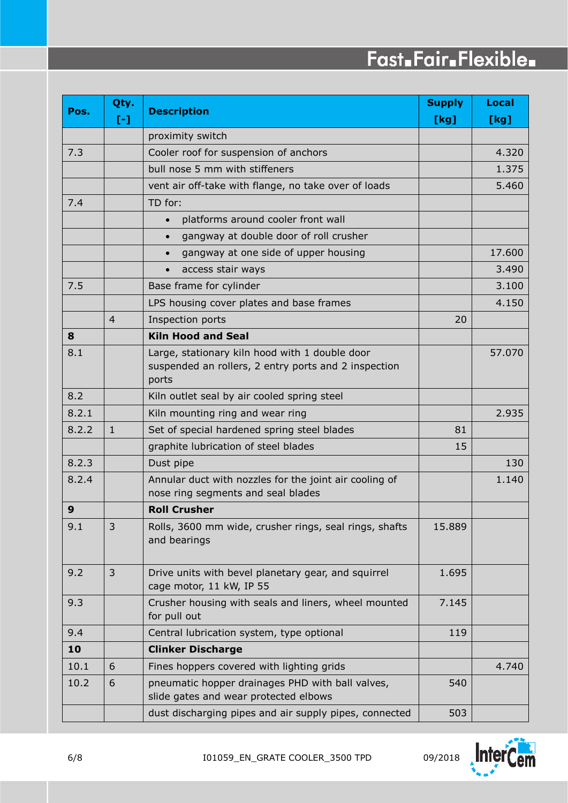| Pos.  | Qty.<br>$[-]$  | <b>Description</b>                                                                                              | <b>Supply</b><br>[kg] | Local<br>[kg] |
|-------|----------------|-----------------------------------------------------------------------------------------------------------------|-----------------------|---------------|
|       |                | proximity switch                                                                                                |                       |               |
| 7.3   |                | Cooler roof for suspension of anchors                                                                           |                       | 4.320         |
|       |                | bull nose 5 mm with stiffeners                                                                                  |                       | 1.375         |
|       |                | vent air off-take with flange, no take over of loads                                                            |                       | 5.460         |
| 7.4   |                | TD for:                                                                                                         |                       |               |
|       |                | platforms around cooler front wall<br>$\bullet$                                                                 |                       |               |
|       |                | gangway at double door of roll crusher                                                                          |                       |               |
|       |                | gangway at one side of upper housing                                                                            |                       | 17.600        |
|       |                | access stair ways                                                                                               |                       | 3.490         |
| 7.5   |                | Base frame for cylinder                                                                                         |                       | 3.100         |
|       |                | LPS housing cover plates and base frames                                                                        |                       | 4.150         |
|       | $\overline{4}$ | Inspection ports                                                                                                | 20                    |               |
| 8     |                | <b>Kiln Hood and Seal</b>                                                                                       |                       |               |
| 8.1   |                | Large, stationary kiln hood with 1 double door<br>suspended an rollers, 2 entry ports and 2 inspection<br>ports |                       | 57.070        |
| 8.2   |                | Kiln outlet seal by air cooled spring steel                                                                     |                       |               |
| 8.2.1 |                | Kiln mounting ring and wear ring                                                                                |                       | 2.935         |
| 8.2.2 | $\mathbf{1}$   | Set of special hardened spring steel blades                                                                     | 81                    |               |
|       |                | graphite lubrication of steel blades                                                                            | 15                    |               |
| 8.2.3 |                | Dust pipe                                                                                                       |                       | 130           |
| 8.2.4 |                | Annular duct with nozzles for the joint air cooling of<br>nose ring segments and seal blades                    |                       | 1.140         |
| 9     |                | <b>Roll Crusher</b>                                                                                             |                       |               |
| 9.1   | 3              | Rolls, 3600 mm wide, crusher rings, seal rings, shafts<br>and bearings                                          | 15.889                |               |
| 9.2   | 3              | Drive units with bevel planetary gear, and squirrel<br>cage motor, 11 kW, IP 55                                 | 1.695                 |               |
| 9.3   |                | Crusher housing with seals and liners, wheel mounted<br>for pull out                                            | 7.145                 |               |
| 9.4   |                | Central lubrication system, type optional                                                                       | 119                   |               |
| 10    |                | <b>Clinker Discharge</b>                                                                                        |                       |               |
| 10.1  | 6              | Fines hoppers covered with lighting grids                                                                       |                       | 4.740         |
| 10.2  | 6              | pneumatic hopper drainages PHD with ball valves,<br>slide gates and wear protected elbows                       | 540                   |               |
|       |                | dust discharging pipes and air supply pipes, connected                                                          | 503                   |               |

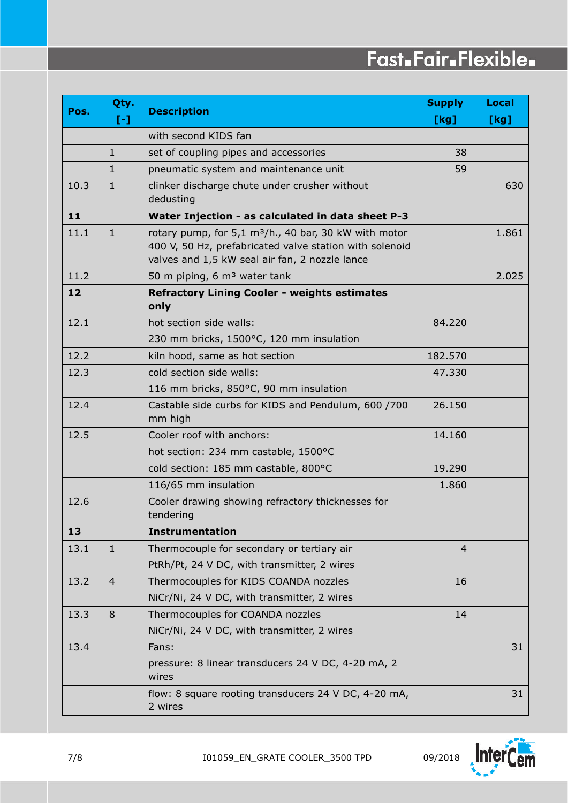| Pos. | Qty.<br>I-1    | <b>Description</b>                                                                                                                                                            | <b>Supply</b><br>[kg] | <b>Local</b><br>[kg] |
|------|----------------|-------------------------------------------------------------------------------------------------------------------------------------------------------------------------------|-----------------------|----------------------|
|      |                | with second KIDS fan                                                                                                                                                          |                       |                      |
|      | $\mathbf{1}$   | set of coupling pipes and accessories                                                                                                                                         | 38                    |                      |
|      | $\mathbf{1}$   | pneumatic system and maintenance unit                                                                                                                                         | 59                    |                      |
| 10.3 | $\mathbf{1}$   | clinker discharge chute under crusher without<br>dedusting                                                                                                                    |                       | 630                  |
| 11   |                | Water Injection - as calculated in data sheet P-3                                                                                                                             |                       |                      |
| 11.1 | $\mathbf{1}$   | rotary pump, for $5,1 \text{ m}^3/h$ ., 40 bar, 30 kW with motor<br>400 V, 50 Hz, prefabricated valve station with solenoid<br>valves and 1,5 kW seal air fan, 2 nozzle lance |                       | 1.861                |
| 11.2 |                | 50 m piping, 6 m <sup>3</sup> water tank                                                                                                                                      |                       | 2.025                |
| 12   |                | <b>Refractory Lining Cooler - weights estimates</b><br>only                                                                                                                   |                       |                      |
| 12.1 |                | hot section side walls:                                                                                                                                                       | 84.220                |                      |
|      |                | 230 mm bricks, 1500°C, 120 mm insulation                                                                                                                                      |                       |                      |
| 12.2 |                | kiln hood, same as hot section                                                                                                                                                | 182.570               |                      |
| 12.3 |                | cold section side walls:                                                                                                                                                      | 47.330                |                      |
|      |                | 116 mm bricks, 850°C, 90 mm insulation                                                                                                                                        |                       |                      |
| 12.4 |                | Castable side curbs for KIDS and Pendulum, 600 /700<br>mm high                                                                                                                | 26.150                |                      |
| 12.5 |                | Cooler roof with anchors:                                                                                                                                                     | 14.160                |                      |
|      |                | hot section: 234 mm castable, 1500°C                                                                                                                                          |                       |                      |
|      |                | cold section: 185 mm castable, 800°C                                                                                                                                          | 19.290                |                      |
|      |                | 116/65 mm insulation                                                                                                                                                          | 1.860                 |                      |
| 12.6 |                | Cooler drawing showing refractory thicknesses for<br>tendering                                                                                                                |                       |                      |
| 13   |                | <b>Instrumentation</b>                                                                                                                                                        |                       |                      |
| 13.1 | $\mathbf{1}$   | Thermocouple for secondary or tertiary air<br>PtRh/Pt, 24 V DC, with transmitter, 2 wires                                                                                     | $\overline{4}$        |                      |
| 13.2 | $\overline{4}$ | Thermocouples for KIDS COANDA nozzles                                                                                                                                         | 16                    |                      |
|      |                | NiCr/Ni, 24 V DC, with transmitter, 2 wires                                                                                                                                   |                       |                      |
| 13.3 | 8              | Thermocouples for COANDA nozzles                                                                                                                                              | 14                    |                      |
|      |                | NiCr/Ni, 24 V DC, with transmitter, 2 wires                                                                                                                                   |                       |                      |
| 13.4 |                | Fans:<br>pressure: 8 linear transducers 24 V DC, 4-20 mA, 2<br>wires                                                                                                          |                       | 31                   |
|      |                | flow: 8 square rooting transducers 24 V DC, 4-20 mA,<br>2 wires                                                                                                               |                       | 31                   |